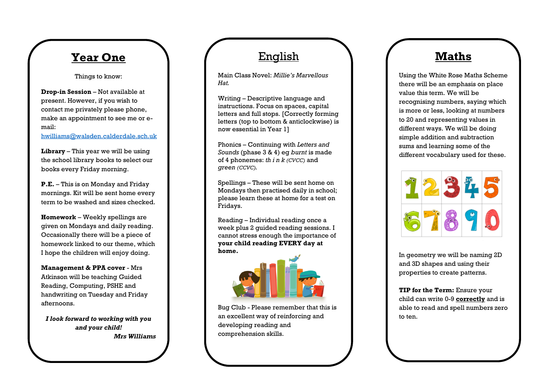## **Year One**

Things to know :

**Drop -in Session** – Not available at present. However, if you wish to contact me privately please phone, make an appointment to see me or e mail:

[hwilliams@walsden.calderdale.sch.uk](mailto:hwilliams@walsden.calderdale.sch.uk)

**Library** – This year we will be using the school library books to select our books every Friday morning.

**P.E.** – This is on Monday and Friday mornings. Kit will be sent home every term to be washed and sizes checked.

**Homework** – Weekly spellings are given on Mondays and daily reading . Occasionally there will be a piece of homework linked to our theme, which I hope the children will enjoy doing.

**Management & PPA cover** - Mrs Atkinson will be teaching Guided Reading, Computing, PSHE and handwriting on Tuesday and Friday afternoons.

*I look forward to working with you and your child ! Mrs Williams*

## English

Main Class Novel: *Millie's Marvellous Hat .*

Writing – Descriptive language and instructions. Focus on spaces, capital letters and full stops. [Correctly forming letters (top to bottom & anticlockwise) is now essential in Year 1]

Phonics – Continuing with *Letters and Sounds* (phase 3 & 4) eg *burnt* is made of 4 phonemes: *th i n k (CVCC)* and *green (CCVC) .*

Spellings – These will be sent home on Mondays then practised daily in school; please learn these at home for a test on Fridays.

Reading – Individual reading once a week plus 2 guided reading sessions. I cannot stress enough the importance of **your child reading EVERY day at home .**



Bug Club - Please remember that this is an excellent way of reinforcing and developing reading and comprehension skills.

## **Maths**

Using the White Rose Maths Scheme there will be an emphasis on place value this term. We will be recognising numbers , saying which is more or less, looking at numbers to 20 and representing values in different ways. We will be doing simple addition and subtraction sums and learning some of the different vocabulary used for these.



In geometry we will be naming 2D and 3D shapes and using their properties to create patterns.

**TIP for the Term:** Ensure your child can write 0 -9 **correctly** and is able to read and spell numbers zero to ten.